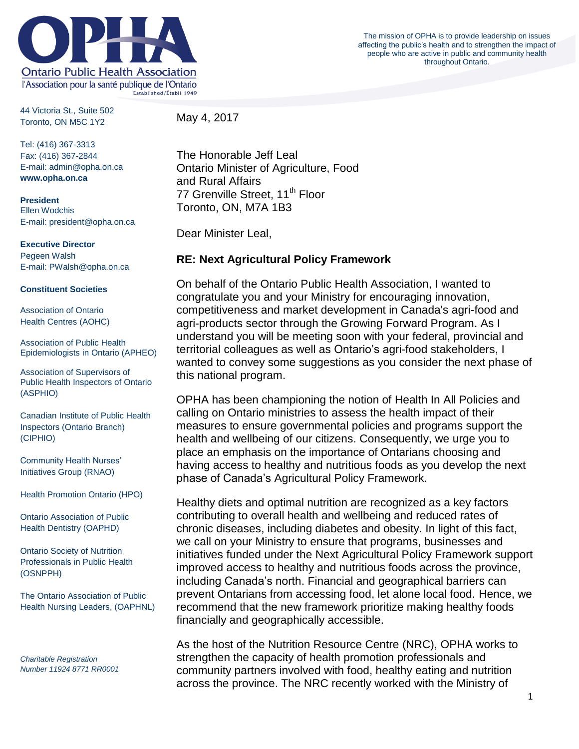

The mission of OPHA is to provide leadership on issues affecting the public's health and to strengthen the impact of people who are active in public and community health throughout Ontario.

44 Victoria St., Suite 502 Toronto, ON M5C 1Y2

May 4, 2017

Tel: (416) 367-3313 Fax: (416) 367-2844 E-mail: admin@opha.on.ca **www.opha.on.ca**

**President** Ellen Wodchis E-mail: president@opha.on.ca

**Executive Director**

Pegeen Walsh E-mail: PWalsh@opha.on.ca

## **Constituent Societies**

Association of Ontario Health Centres (AOHC)

Association of Public Health Epidemiologists in Ontario (APHEO)

Association of Supervisors of Public Health Inspectors of Ontario (ASPHIO)

Canadian Institute of Public Health Inspectors (Ontario Branch) (CIPHIO)

Community Health Nurses' Initiatives Group (RNAO)

Health Promotion Ontario (HPO)

Ontario Association of Public Health Dentistry (OAPHD)

Ontario Society of Nutrition Professionals in Public Health (OSNPPH)

The Ontario Association of Public Health Nursing Leaders, (OAPHNL)

*Charitable Registration Number 11924 8771 RR0001* The Honorable Jeff Leal Ontario Minister of Agriculture, Food and Rural Affairs 77 Grenville Street, 11<sup>th</sup> Floor Toronto, ON, M7A 1B3

Dear Minister Leal,

## **RE: Next Agricultural Policy Framework**

On behalf of the Ontario Public Health Association, I wanted to congratulate you and your Ministry for encouraging innovation, competitiveness and market development in Canada's agri-food and agri-products sector through the Growing Forward Program. As I understand you will be meeting soon with your federal, provincial and territorial colleagues as well as Ontario's agri-food stakeholders, I wanted to convey some suggestions as you consider the next phase of this national program.

OPHA has been championing the notion of Health In All Policies and calling on Ontario ministries to assess the health impact of their measures to ensure governmental policies and programs support the health and wellbeing of our citizens. Consequently, we urge you to place an emphasis on the importance of Ontarians choosing and having access to healthy and nutritious foods as you develop the next phase of Canada's Agricultural Policy Framework.

Healthy diets and optimal nutrition are recognized as a key factors contributing to overall health and wellbeing and reduced rates of chronic diseases, including diabetes and obesity. In light of this fact, we call on your Ministry to ensure that programs, businesses and initiatives funded under the Next Agricultural Policy Framework support improved access to healthy and nutritious foods across the province, including Canada's north. Financial and geographical barriers can prevent Ontarians from accessing food, let alone local food. Hence, we recommend that the new framework prioritize making healthy foods financially and geographically accessible.

As the host of the Nutrition Resource Centre (NRC), OPHA works to strengthen the capacity of health promotion professionals and community partners involved with food, healthy eating and nutrition across the province. The NRC recently worked with the Ministry of